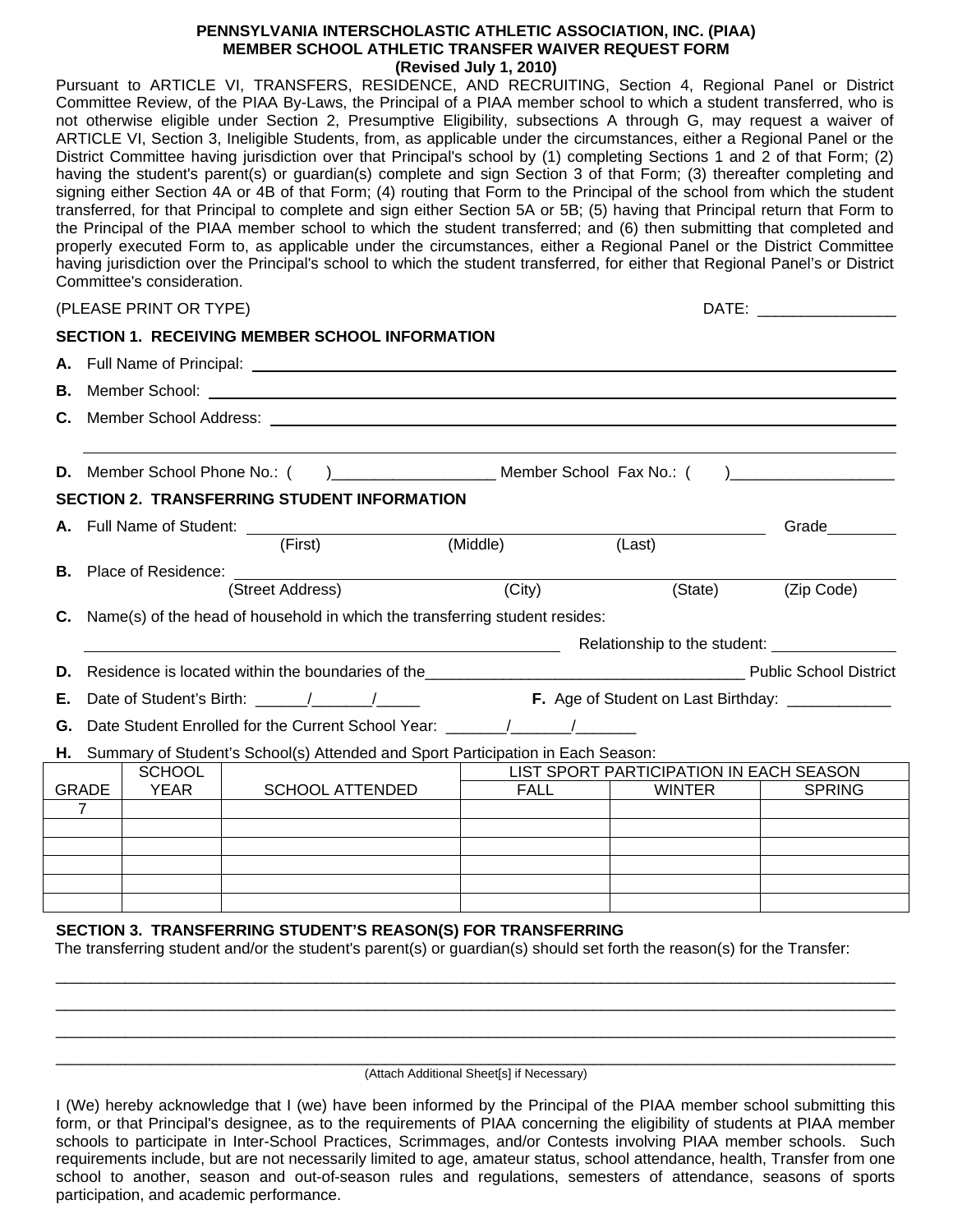### **PENNSYLVANIA INTERSCHOLASTIC ATHLETIC ASSOCIATION, INC. (PIAA) MEMBER SCHOOL ATHLETIC TRANSFER WAIVER REQUEST FORM (Revised July 1, 2010)**

Pursuant to ARTICLE VI, TRANSFERS, RESIDENCE, AND RECRUITING, Section 4, Regional Panel or District Committee Review, of the PIAA By-Laws, the Principal of a PIAA member school to which a student transferred, who is not otherwise eligible under Section 2, Presumptive Eligibility, subsections A through G, may request a waiver of ARTICLE VI, Section 3, Ineligible Students, from, as applicable under the circumstances, either a Regional Panel or the District Committee having jurisdiction over that Principal's school by (1) completing Sections 1 and 2 of that Form; (2) having the student's parent(s) or quardian(s) complete and sign Section 3 of that Form; (3) thereafter completing and signing either Section 4A or 4B of that Form; (4) routing that Form to the Principal of the school from which the student transferred, for that Principal to complete and sign either Section 5A or 5B; (5) having that Principal return that Form to the Principal of the PIAA member school to which the student transferred; and (6) then submitting that completed and properly executed Form to, as applicable under the circumstances, either a Regional Panel or the District Committee having jurisdiction over the Principal's school to which the student transferred, for either that Regional Panel's or District Committee's consideration.

| (PLEASE PRINT OR TYPE) | <b>DATE</b> |
|------------------------|-------------|
|------------------------|-------------|

**SECTION 1. RECEIVING MEMBER SCHOOL INFORMATION** 

|--|--|

|                                                    |                                                                                                                                                                                                                                      |                                   | SECTION 1. RECEIVING MEMBER SCHOOL INFORMATION                                                                           |                              |             |                                         |                                                  |  |  |  |
|----------------------------------------------------|--------------------------------------------------------------------------------------------------------------------------------------------------------------------------------------------------------------------------------------|-----------------------------------|--------------------------------------------------------------------------------------------------------------------------|------------------------------|-------------|-----------------------------------------|--------------------------------------------------|--|--|--|
|                                                    |                                                                                                                                                                                                                                      |                                   |                                                                                                                          |                              |             |                                         |                                                  |  |  |  |
| В.                                                 | Member School: <u>New York: New York: New York: New York: New York: New York: New York: New York: New York: New York: New York: New York: New York: New York: New York: New York: New York: New York: New York: New York: New Yo</u> |                                   |                                                                                                                          |                              |             |                                         |                                                  |  |  |  |
| C.                                                 |                                                                                                                                                                                                                                      |                                   |                                                                                                                          |                              |             |                                         |                                                  |  |  |  |
|                                                    |                                                                                                                                                                                                                                      |                                   |                                                                                                                          |                              |             |                                         |                                                  |  |  |  |
| D.                                                 | $\mathbf{r}$                                                                                                                                                                                                                         |                                   |                                                                                                                          |                              |             |                                         |                                                  |  |  |  |
| <b>SECTION 2. TRANSFERRING STUDENT INFORMATION</b> |                                                                                                                                                                                                                                      |                                   |                                                                                                                          |                              |             |                                         |                                                  |  |  |  |
|                                                    |                                                                                                                                                                                                                                      | A. Full Name of Student: ________ |                                                                                                                          |                              |             | Grade                                   |                                                  |  |  |  |
|                                                    |                                                                                                                                                                                                                                      |                                   | (First)                                                                                                                  | $\overline{\text{(Middle)}}$ |             | (Last)                                  |                                                  |  |  |  |
|                                                    |                                                                                                                                                                                                                                      |                                   |                                                                                                                          |                              |             |                                         |                                                  |  |  |  |
|                                                    |                                                                                                                                                                                                                                      |                                   | (Street Address)                                                                                                         | (City)                       |             | (State)                                 | (Zip Code)                                       |  |  |  |
|                                                    | <b>C.</b> Name(s) of the head of household in which the transferring student resides:                                                                                                                                                |                                   |                                                                                                                          |                              |             |                                         |                                                  |  |  |  |
|                                                    |                                                                                                                                                                                                                                      |                                   |                                                                                                                          |                              |             |                                         |                                                  |  |  |  |
| D.                                                 |                                                                                                                                                                                                                                      |                                   | Residence is located within the boundaries of the<br><u>Letter Lines Lines Lines and Contract Public School District</u> |                              |             |                                         |                                                  |  |  |  |
| Е.                                                 |                                                                                                                                                                                                                                      |                                   |                                                                                                                          |                              |             |                                         | F. Age of Student on Last Birthday: ____________ |  |  |  |
| G.                                                 | Date Student Enrolled for the Current School Year: ______________________________                                                                                                                                                    |                                   |                                                                                                                          |                              |             |                                         |                                                  |  |  |  |
|                                                    | H. Summary of Student's School(s) Attended and Sport Participation in Each Season:                                                                                                                                                   |                                   |                                                                                                                          |                              |             |                                         |                                                  |  |  |  |
|                                                    |                                                                                                                                                                                                                                      | <b>SCHOOL</b>                     |                                                                                                                          |                              |             | LIST SPORT PARTICIPATION IN EACH SEASON |                                                  |  |  |  |
|                                                    | <b>GRADE</b><br>$\overline{7}$                                                                                                                                                                                                       | <b>YEAR</b>                       | <b>SCHOOL ATTENDED</b>                                                                                                   |                              | <b>FALL</b> | <b>WINTER</b>                           | <b>SPRING</b>                                    |  |  |  |
|                                                    |                                                                                                                                                                                                                                      |                                   |                                                                                                                          |                              |             |                                         |                                                  |  |  |  |
|                                                    |                                                                                                                                                                                                                                      |                                   |                                                                                                                          |                              |             |                                         |                                                  |  |  |  |
|                                                    |                                                                                                                                                                                                                                      |                                   |                                                                                                                          |                              |             |                                         |                                                  |  |  |  |
|                                                    |                                                                                                                                                                                                                                      |                                   |                                                                                                                          |                              |             |                                         |                                                  |  |  |  |
|                                                    |                                                                                                                                                                                                                                      |                                   |                                                                                                                          |                              |             |                                         |                                                  |  |  |  |

### **SECTION 3. TRANSFERRING STUDENT'S REASON(S) FOR TRANSFERRING**

The transferring student and/or the student's parent(s) or guardian(s) should set forth the reason(s) for the Transfer:

(Attach Additional Sheet[s] if Necessary)

\_\_\_\_\_\_\_\_\_\_\_\_\_\_\_\_\_\_\_\_\_\_\_\_\_\_\_\_\_\_\_\_\_\_\_\_\_\_\_\_\_\_\_\_\_\_\_\_\_\_\_\_\_\_\_\_\_\_\_\_\_\_\_\_\_\_\_\_\_\_\_\_\_\_\_\_\_\_\_\_\_\_\_\_\_\_\_\_\_\_\_\_\_\_\_\_\_  $\_$  ,  $\_$  ,  $\_$  ,  $\_$  ,  $\_$  ,  $\_$  ,  $\_$  ,  $\_$  ,  $\_$  ,  $\_$  ,  $\_$  ,  $\_$  ,  $\_$  ,  $\_$  ,  $\_$  ,  $\_$  ,  $\_$  ,  $\_$  ,  $\_$  ,  $\_$  ,  $\_$  ,  $\_$  ,  $\_$  ,  $\_$  ,  $\_$  ,  $\_$  ,  $\_$  ,  $\_$  ,  $\_$  ,  $\_$  ,  $\_$  ,  $\_$  ,  $\_$  ,  $\_$  ,  $\_$  ,  $\_$  ,  $\_$  , \_\_\_\_\_\_\_\_\_\_\_\_\_\_\_\_\_\_\_\_\_\_\_\_\_\_\_\_\_\_\_\_\_\_\_\_\_\_\_\_\_\_\_\_\_\_\_\_\_\_\_\_\_\_\_\_\_\_\_\_\_\_\_\_\_\_\_\_\_\_\_\_\_\_\_\_\_\_\_\_\_\_\_\_\_\_\_\_\_\_\_\_\_\_\_\_\_

I (We) hereby acknowledge that I (we) have been informed by the Principal of the PIAA member school submitting this form, or that Principal's designee, as to the requirements of PIAA concerning the eligibility of students at PIAA member schools to participate in Inter-School Practices, Scrimmages, and/or Contests involving PIAA member schools. Such requirements include, but are not necessarily limited to age, amateur status, school attendance, health, Transfer from one school to another, season and out-of-season rules and regulations, semesters of attendance, seasons of sports participation, and academic performance.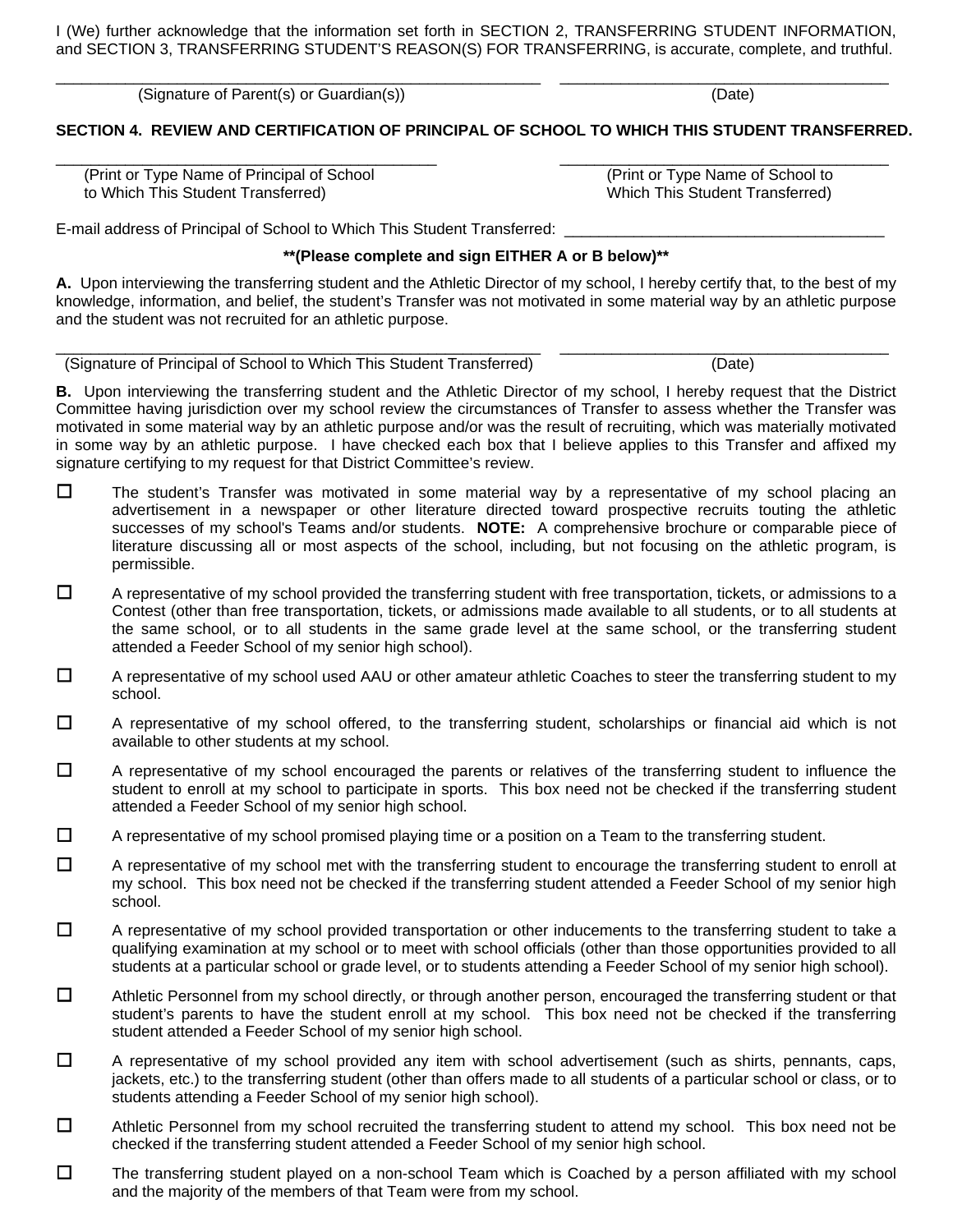I (We) further acknowledge that the information set forth in SECTION 2, TRANSFERRING STUDENT INFORMATION, and SECTION 3, TRANSFERRING STUDENT'S REASON(S) FOR TRANSFERRING, is accurate, complete, and truthful.

\_\_\_\_\_\_\_\_\_\_\_\_\_\_\_\_\_\_\_\_\_\_\_\_\_\_\_\_\_\_\_\_\_\_\_\_\_\_\_\_\_\_\_\_\_\_\_\_\_\_\_\_\_\_\_\_ \_\_\_\_\_\_\_\_\_\_\_\_\_\_\_\_\_\_\_\_\_\_\_\_\_\_\_\_\_\_\_\_\_\_\_\_\_\_

(Signature of Parent(s) or Guardian(s)) (Date)

**SECTION 4. REVIEW AND CERTIFICATION OF PRINCIPAL OF SCHOOL TO WHICH THIS STUDENT TRANSFERRED.** 

\_\_\_\_\_\_\_\_\_\_\_\_\_\_\_\_\_\_\_\_\_\_\_\_\_\_\_\_\_\_\_\_\_\_\_\_\_\_\_\_\_\_\_\_ \_\_\_\_\_\_\_\_\_\_\_\_\_\_\_\_\_\_\_\_\_\_\_\_\_\_\_\_\_\_\_\_\_\_\_\_\_\_

 (Print or Type Name of Principal of School (Print or Type Name of School to to Which This Student Transferred) Which This Student Transferred)

E-mail address of Principal of School to Which This Student Transferred:

## **\*\*(Please complete and sign EITHER A or B below)\*\***

**A.** Upon interviewing the transferring student and the Athletic Director of my school, I hereby certify that, to the best of my knowledge, information, and belief, the student's Transfer was not motivated in some material way by an athletic purpose and the student was not recruited for an athletic purpose.

\_\_\_\_\_\_\_\_\_\_\_\_\_\_\_\_\_\_\_\_\_\_\_\_\_\_\_\_\_\_\_\_\_\_\_\_\_\_\_\_\_\_\_\_\_\_\_\_\_\_\_\_\_\_\_\_ \_\_\_\_\_\_\_\_\_\_\_\_\_\_\_\_\_\_\_\_\_\_\_\_\_\_\_\_\_\_\_\_\_\_\_\_\_\_

(Signature of Principal of School to Which This Student Transferred) (Date)

**B.** Upon interviewing the transferring student and the Athletic Director of my school, I hereby request that the District Committee having jurisdiction over my school review the circumstances of Transfer to assess whether the Transfer was motivated in some material way by an athletic purpose and/or was the result of recruiting, which was materially motivated in some way by an athletic purpose. I have checked each box that I believe applies to this Transfer and affixed my signature certifying to my request for that District Committee's review.

- $\square$  The student's Transfer was motivated in some material way by a representative of my school placing an advertisement in a newspaper or other literature directed toward prospective recruits touting the athletic successes of my school's Teams and/or students. **NOTE:** A comprehensive brochure or comparable piece of literature discussing all or most aspects of the school, including, but not focusing on the athletic program, is permissible.
- $\Box$  A representative of my school provided the transferring student with free transportation, tickets, or admissions to a Contest (other than free transportation, tickets, or admissions made available to all students, or to all students at the same school, or to all students in the same grade level at the same school, or the transferring student attended a Feeder School of my senior high school).
- $\Box$  A representative of my school used AAU or other amateur athletic Coaches to steer the transferring student to my school.
- $\Box$  A representative of my school offered, to the transferring student, scholarships or financial aid which is not available to other students at my school.
- $\Box$  A representative of my school encouraged the parents or relatives of the transferring student to influence the student to enroll at my school to participate in sports. This box need not be checked if the transferring student attended a Feeder School of my senior high school.
- $\Box$  A representative of my school promised playing time or a position on a Team to the transferring student.
- $\Box$  A representative of my school met with the transferring student to encourage the transferring student to enroll at my school. This box need not be checked if the transferring student attended a Feeder School of my senior high school.
- $\Box$  A representative of my school provided transportation or other inducements to the transferring student to take a qualifying examination at my school or to meet with school officials (other than those opportunities provided to all students at a particular school or grade level, or to students attending a Feeder School of my senior high school).
- $\Box$  Athletic Personnel from my school directly, or through another person, encouraged the transferring student or that student's parents to have the student enroll at my school. This box need not be checked if the transferring student attended a Feeder School of my senior high school.
- $\Box$  A representative of my school provided any item with school advertisement (such as shirts, pennants, caps, jackets, etc.) to the transferring student (other than offers made to all students of a particular school or class, or to students attending a Feeder School of my senior high school).
- $\Box$  Athletic Personnel from my school recruited the transferring student to attend my school. This box need not be checked if the transferring student attended a Feeder School of my senior high school.
- $\Box$  The transferring student played on a non-school Team which is Coached by a person affiliated with my school and the majority of the members of that Team were from my school.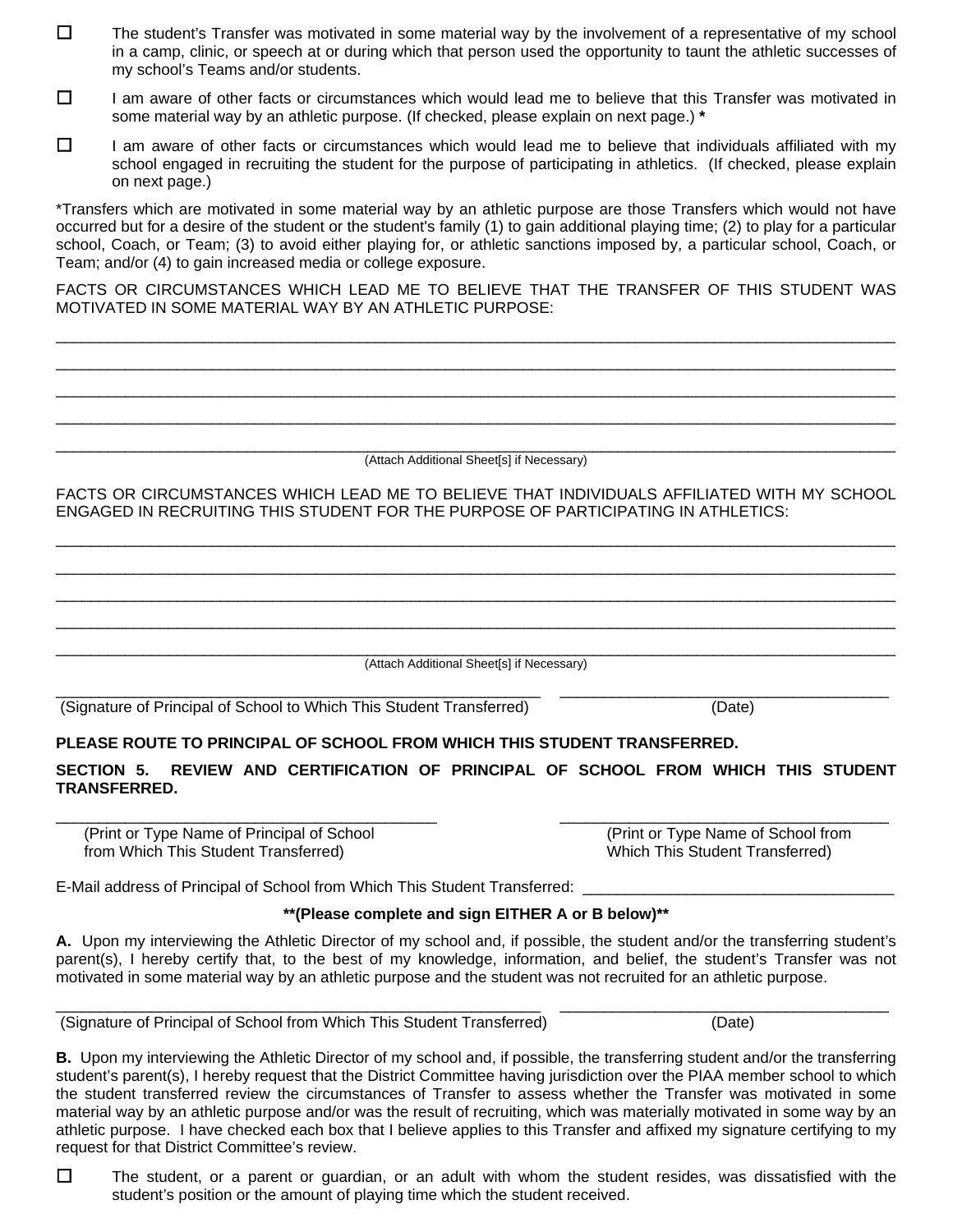- $\Box$  The student's Transfer was motivated in some material way by the involvement of a representative of my school in a camp, clinic, or speech at or during which that person used the opportunity to taunt the athletic successes of my school's Teams and/or students.
- $\Box$  I am aware of other facts or circumstances which would lead me to believe that this Transfer was motivated in some material way by an athletic purpose. (If checked, please explain on next page.) **\***
- $\Box$  I am aware of other facts or circumstances which would lead me to believe that individuals affiliated with my school engaged in recruiting the student for the purpose of participating in athletics. (If checked, please explain on next page.)

\*Transfers which are motivated in some material way by an athletic purpose are those Transfers which would not have occurred but for a desire of the student or the student's family (1) to gain additional playing time; (2) to play for a particular school, Coach, or Team; (3) to avoid either playing for, or athletic sanctions imposed by, a particular school, Coach, or Team; and/or (4) to gain increased media or college exposure.

FACTS OR CIRCUMSTANCES WHICH LEAD ME TO BELIEVE THAT THE TRANSFER OF THIS STUDENT WAS MOTIVATED IN SOME MATERIAL WAY BY AN ATHLETIC PURPOSE:

\_\_\_\_\_\_\_\_\_\_\_\_\_\_\_\_\_\_\_\_\_\_\_\_\_\_\_\_\_\_\_\_\_\_\_\_\_\_\_\_\_\_\_\_\_\_\_\_\_\_\_\_\_\_\_\_\_\_\_\_\_\_\_\_\_\_\_\_\_\_\_\_\_\_\_\_\_\_\_\_\_\_\_\_\_\_\_\_\_\_\_\_\_\_\_\_\_  $\_$  ,  $\_$  ,  $\_$  ,  $\_$  ,  $\_$  ,  $\_$  ,  $\_$  ,  $\_$  ,  $\_$  ,  $\_$  ,  $\_$  ,  $\_$  ,  $\_$  ,  $\_$  ,  $\_$  ,  $\_$  ,  $\_$  ,  $\_$  ,  $\_$  ,  $\_$  ,  $\_$  ,  $\_$  ,  $\_$  ,  $\_$  ,  $\_$  ,  $\_$  ,  $\_$  ,  $\_$  ,  $\_$  ,  $\_$  ,  $\_$  ,  $\_$  ,  $\_$  ,  $\_$  ,  $\_$  ,  $\_$  ,  $\_$  ,

 $\_$  ,  $\_$  ,  $\_$  ,  $\_$  ,  $\_$  ,  $\_$  ,  $\_$  ,  $\_$  ,  $\_$  ,  $\_$  ,  $\_$  ,  $\_$  ,  $\_$  ,  $\_$  ,  $\_$  ,  $\_$  ,  $\_$  ,  $\_$  ,  $\_$  ,  $\_$  ,  $\_$  ,  $\_$  ,  $\_$  ,  $\_$  ,  $\_$  ,  $\_$  ,  $\_$  ,  $\_$  ,  $\_$  ,  $\_$  ,  $\_$  ,  $\_$  ,  $\_$  ,  $\_$  ,  $\_$  ,  $\_$  ,  $\_$  , \_\_\_\_\_\_\_\_\_\_\_\_\_\_\_\_\_\_\_\_\_\_\_\_\_\_\_\_\_\_\_\_\_\_\_\_\_\_\_\_\_\_\_\_\_\_\_\_\_\_\_\_\_\_\_\_\_\_\_\_\_\_\_\_\_\_\_\_\_\_\_\_\_\_\_\_\_\_\_\_\_\_\_\_\_\_\_\_\_\_\_\_\_\_\_\_\_ (Attach Additional Sheet[s] if Necessary) FACTS OR CIRCUMSTANCES WHICH LEAD ME TO BELIEVE THAT INDIVIDUALS AFFILIATED WITH MY SCHOOL ENGAGED IN RECRUITING THIS STUDENT FOR THE PURPOSE OF PARTICIPATING IN ATHLETICS:  $\_$  ,  $\_$  ,  $\_$  ,  $\_$  ,  $\_$  ,  $\_$  ,  $\_$  ,  $\_$  ,  $\_$  ,  $\_$  ,  $\_$  ,  $\_$  ,  $\_$  ,  $\_$  ,  $\_$  ,  $\_$  ,  $\_$  ,  $\_$  ,  $\_$  ,  $\_$  ,  $\_$  ,  $\_$  ,  $\_$  ,  $\_$  ,  $\_$  ,  $\_$  ,  $\_$  ,  $\_$  ,  $\_$  ,  $\_$  ,  $\_$  ,  $\_$  ,  $\_$  ,  $\_$  ,  $\_$  ,  $\_$  ,  $\_$  ,  $\_$  ,  $\_$  ,  $\_$  ,  $\_$  ,  $\_$  ,  $\_$  ,  $\_$  ,  $\_$  ,  $\_$  ,  $\_$  ,  $\_$  ,  $\_$  ,  $\_$  ,  $\_$  ,  $\_$  ,  $\_$  ,  $\_$  ,  $\_$  ,  $\_$  ,  $\_$  ,  $\_$  ,  $\_$  ,  $\_$  ,  $\_$  ,  $\_$  ,  $\_$  ,  $\_$  ,  $\_$  ,  $\_$  ,  $\_$  ,  $\_$  ,  $\_$  ,  $\_$  ,  $\_$  ,  $\_$  ,  $\_$  ,  $\_$  , \_\_\_\_\_\_\_\_\_\_\_\_\_\_\_\_\_\_\_\_\_\_\_\_\_\_\_\_\_\_\_\_\_\_\_\_\_\_\_\_\_\_\_\_\_\_\_\_\_\_\_\_\_\_\_\_\_\_\_\_\_\_\_\_\_\_\_\_\_\_\_\_\_\_\_\_\_\_\_\_\_\_\_\_\_\_\_\_\_\_\_\_\_\_\_\_\_  $\_$  ,  $\_$  ,  $\_$  ,  $\_$  ,  $\_$  ,  $\_$  ,  $\_$  ,  $\_$  ,  $\_$  ,  $\_$  ,  $\_$  ,  $\_$  ,  $\_$  ,  $\_$  ,  $\_$  ,  $\_$  ,  $\_$  ,  $\_$  ,  $\_$  ,  $\_$  ,  $\_$  ,  $\_$  ,  $\_$  ,  $\_$  ,  $\_$  ,  $\_$  ,  $\_$  ,  $\_$  ,  $\_$  ,  $\_$  ,  $\_$  ,  $\_$  ,  $\_$  ,  $\_$  ,  $\_$  ,  $\_$  ,  $\_$  , (Attach Additional Sheet[s] if Necessary) \_\_\_\_\_\_\_\_\_\_\_\_\_\_\_\_\_\_\_\_\_\_\_\_\_\_\_\_\_\_\_\_\_\_\_\_\_\_\_\_\_\_\_\_\_\_\_\_\_\_\_\_\_\_\_\_ \_\_\_\_\_\_\_\_\_\_\_\_\_\_\_\_\_\_\_\_\_\_\_\_\_\_\_\_\_\_\_\_\_\_\_\_\_\_ (Signature of Principal of School to Which This Student Transferred) (Date) **PLEASE ROUTE TO PRINCIPAL OF SCHOOL FROM WHICH THIS STUDENT TRANSFERRED.** 

**SECTION 5. REVIEW AND CERTIFICATION OF PRINCIPAL OF SCHOOL FROM WHICH THIS STUDENT TRANSFERRED.** 

\_\_\_\_\_\_\_\_\_\_\_\_\_\_\_\_\_\_\_\_\_\_\_\_\_\_\_\_\_\_\_\_\_\_\_\_\_\_\_\_\_\_\_\_ \_\_\_\_\_\_\_\_\_\_\_\_\_\_\_\_\_\_\_\_\_\_\_\_\_\_\_\_\_\_\_\_\_\_\_\_\_\_

 (Print or Type Name of Principal of School (Print or Type Name of School from from Which This Student Transferred) Which This Student Transferred)

E-Mail address of Principal of School from Which This Student Transferred:

# **\*\*(Please complete and sign EITHER A or B below)\*\***

**A.** Upon my interviewing the Athletic Director of my school and, if possible, the student and/or the transferring student's parent(s), I hereby certify that, to the best of my knowledge, information, and belief, the student's Transfer was not motivated in some material way by an athletic purpose and the student was not recruited for an athletic purpose.

\_\_\_\_\_\_\_\_\_\_\_\_\_\_\_\_\_\_\_\_\_\_\_\_\_\_\_\_\_\_\_\_\_\_\_\_\_\_\_\_\_\_\_\_\_\_\_\_\_\_\_\_\_\_\_\_ \_\_\_\_\_\_\_\_\_\_\_\_\_\_\_\_\_\_\_\_\_\_\_\_\_\_\_\_\_\_\_\_\_\_\_\_\_\_ (Signature of Principal of School from Which This Student Transferred) (Date)

**B.** Upon my interviewing the Athletic Director of my school and, if possible, the transferring student and/or the transferring student's parent(s), I hereby request that the District Committee having jurisdiction over the PIAA member school to which the student transferred review the circumstances of Transfer to assess whether the Transfer was motivated in some material way by an athletic purpose and/or was the result of recruiting, which was materially motivated in some way by an athletic purpose. I have checked each box that I believe applies to this Transfer and affixed my signature certifying to my request for that District Committee's review.

 $\Box$  The student, or a parent or guardian, or an adult with whom the student resides, was dissatisfied with the student's position or the amount of playing time which the student received.